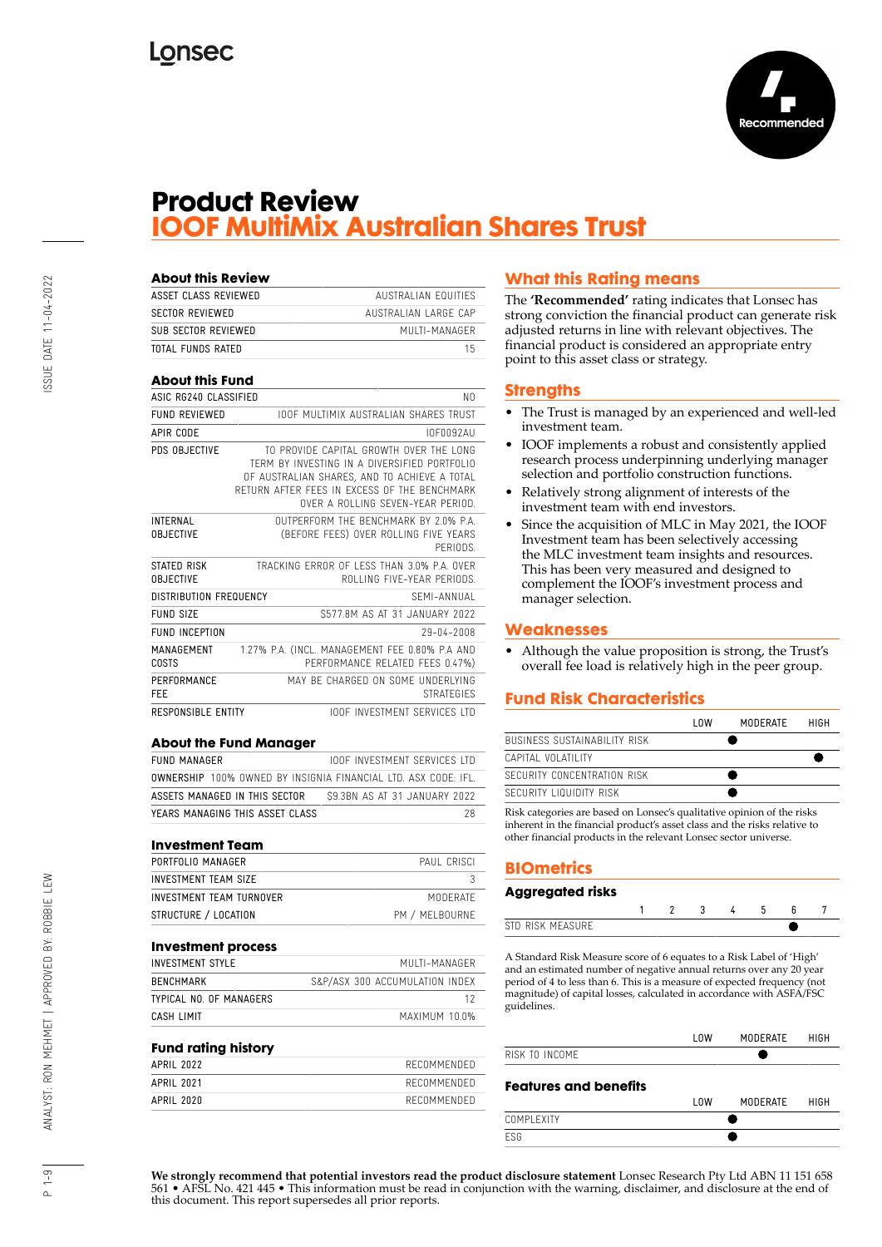

## **Product Review IOOF MultiMix Australian Shares Trust**

| <b>About this Review</b>            |                                                                                                                                                                                                                              |
|-------------------------------------|------------------------------------------------------------------------------------------------------------------------------------------------------------------------------------------------------------------------------|
| ASSET CLASS REVIEWED                | <b>AUSTRALIAN FOUITIES</b>                                                                                                                                                                                                   |
| <b>SECTOR REVIEWED</b>              | AUSTRALIAN LARGE CAP                                                                                                                                                                                                         |
| SUB SECTOR REVIEWED                 | MUITI-MANAGER                                                                                                                                                                                                                |
| <b>TOTAL FUNDS RATED</b>            | 15                                                                                                                                                                                                                           |
| <b>About this Fund</b>              |                                                                                                                                                                                                                              |
| ASIC RG240 CLASSIFIED               | NΩ                                                                                                                                                                                                                           |
| <b>FUND REVIEWED</b>                | <b>IOOF MULTIMIX AUSTRALIAN SHARFS TRUST</b>                                                                                                                                                                                 |
| APIR CODE                           | I0F0092AU                                                                                                                                                                                                                    |
| PDS OBJECTIVE                       | TO PROVIDE CAPITAL GROWTH OVER THE LONG<br>TERM BY INVESTING IN A DIVERSIFIED PORTFOLIO<br>OF AUSTRALIAN SHARES. AND TO ACHIEVE A TOTAL<br>RETURN AFTER FEFS IN EXCESS OF THE BENCHMARK<br>OVER A ROLLING SEVEN-YEAR PERIOD. |
| <b>INTERNAL</b><br><b>OBJECTIVE</b> | OUTPERFORM THE BENCHMARK BY 2.0% P.A.<br>(BEFORE FEES) OVER ROLLING FIVE YEARS<br>PFRIODS.                                                                                                                                   |
| STATED RISK<br><b>OBJECTIVE</b>     | TRACKING FRROR OF LESS THAN 3.0% P.A. OVER<br>ROLLING FIVE-YEAR PERIODS.                                                                                                                                                     |
| DISTRIBUTION FREQUENCY              | SFMI-ANNUAI                                                                                                                                                                                                                  |
| <b>FUND SIZE</b>                    | \$577.8M AS AT 31 JANUARY 2022                                                                                                                                                                                               |
| <b>FUND INCEPTION</b>               | 29-04-2008                                                                                                                                                                                                                   |
| MANAGEMENT<br>COSTS                 | 1.27% P.A. (INCL. MANAGEMENT FEE 0.80% P.A AND<br>PERFORMANCE RELATED FEES 0.47%)                                                                                                                                            |
| PERFORMANCE<br>FEE                  | MAY BE CHARGED ON SOME UNDERLYING<br><b>STRATFGIFS</b>                                                                                                                                                                       |
| <b>RESPONSIBLE ENTITY</b>           | <b>IOOF INVESTMENT SERVICES ITD</b>                                                                                                                                                                                          |
|                                     |                                                                                                                                                                                                                              |

#### **About the Fund Manager**

| FUND MANAGER                    | <b>IOOF INVESTMENT SERVICES LTD</b>                                   |
|---------------------------------|-----------------------------------------------------------------------|
|                                 | <b>OWNERSHIP</b> 100% OWNED BY INSIGNIA FINANCIAL LTD. ASX CODE: IFL. |
| ASSETS MANAGED IN THIS SECTOR   | S9.3BN AS AT 31 JANUARY 2022                                          |
| YEARS MANAGING THIS ASSET CLASS | 28                                                                    |

#### **Investment Team**

| PORTFOLIO MANAGER        | PAUL CRISCI    |
|--------------------------|----------------|
| INVESTMENT TEAM SIZE     |                |
| INVESTMENT TEAM TURNOVER | MODERATE       |
| STRUCTURE / LOCATION     | PM / MELBOURNE |

#### **Investment process**

| INVESTMENT STYLE       | MUITI-MANAGER                  |
|------------------------|--------------------------------|
| BENCHMARK              | S&P/ASX 300 ACCUMULATION INDEX |
| TYPICAI NO OF MANAGFRS |                                |
| CASH LIMIT             | MAXIMIIM 10.0%                 |

#### **Fund rating history**

| APRIL 2022 | RECOMMENDED |
|------------|-------------|
| APRIL 2021 | RECOMMENDED |
| APRIL 2020 | RECOMMENDED |
|            |             |

### **What this Rating means**

The **'Recommended'** rating indicates that Lonsec has strong conviction the financial product can generate risk adjusted returns in line with relevant objectives. The financial product is considered an appropriate entry point to this asset class or strategy.

#### **Strengths**

- The Trust is managed by an experienced and well-led investment team.
- IOOF implements a robust and consistently applied research process underpinning underlying manager selection and portfolio construction functions.
- Relatively strong alignment of interests of the investment team with end investors.
- Since the acquisition of MLC in May 2021, the IOOF Investment team has been selectively accessing the MLC investment team insights and resources. This has been very measured and designed to complement the IOOF's investment process and manager selection.

#### **Weaknesses**

• Although the value proposition is strong, the Trust's overall fee load is relatively high in the peer group.

### **Fund Risk Characteristics**

|                              | l nw | MODERATE | HIGH |
|------------------------------|------|----------|------|
| BUSINESS SUSTAINABILITY RISK |      |          |      |
| CAPITAL VOLATILITY           |      |          |      |
| SECURITY CONCENTRATION RISK  |      |          |      |
| SECURITY LIQUIDITY RISK      |      |          |      |

Risk categories are based on Lonsec's qualitative opinion of the risks inherent in the financial product's asset class and the risks relative to other financial products in the relevant Lonsec sector universe.

## **BIOmetrics**

#### **Aggregated risks**

|     |  |  | L |  |
|-----|--|--|---|--|
| nл. |  |  |   |  |

A Standard Risk Measure score of 6 equates to a Risk Label of 'High' and an estimated number of negative annual returns over any 20 year period of 4 to less than 6. This is a measure of expected frequency (not magnitude) of capital losses, calculated in accordance with ASFA/FSC guidelines.

|                              | l OW | MODERATE | HIGH |
|------------------------------|------|----------|------|
| RISK TO INCOME               |      |          |      |
| <b>Features and benefits</b> |      |          |      |
|                              | l OW | MODERATE | HIGH |
| COMPI FXITY                  |      |          |      |
|                              |      |          |      |

**We strongly recommend that potential investors read the product disclosure statement** Lonsec Research Pty Ltd ABN 11 151 658 561 • AFSL No. 421 445 • This information must be read in conjunction with the warning, disclaimer, and disclosure at the end of this document. This report supersedes all prior reports.

 $\frac{9}{1}$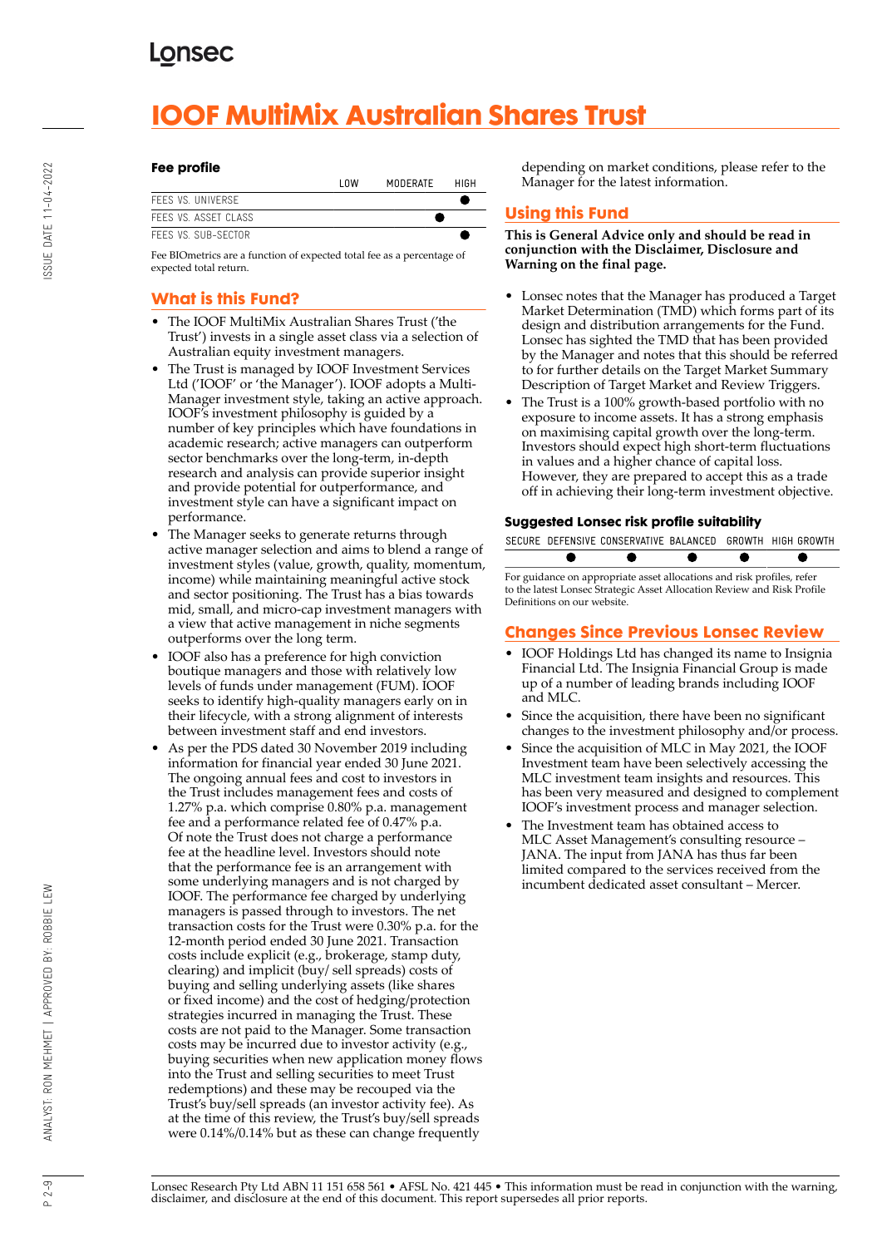# **IOOF MultiMix Australian Shares Trust**

#### **Fee profile**

|                     | l OW | MODERATE | HIGH |
|---------------------|------|----------|------|
| FFFS VS. UNIVERSE   |      |          |      |
| FFFS VS ASSET CLASS |      |          |      |
| FFFS VS. SUB-SECTOR |      |          |      |
|                     |      |          |      |

Fee BIOmetrics are a function of expected total fee as a percentage of expected total return.

## **What is this Fund?**

- The IOOF MultiMix Australian Shares Trust ('the Trust') invests in a single asset class via a selection of Australian equity investment managers.
- The Trust is managed by IOOF Investment Services Ltd ('IOOF' or 'the Manager'). IOOF adopts a Multi-Manager investment style, taking an active approach. IOOF's investment philosophy is guided by a number of key principles which have foundations in academic research; active managers can outperform sector benchmarks over the long-term, in-depth research and analysis can provide superior insight and provide potential for outperformance, and investment style can have a significant impact on performance.
- The Manager seeks to generate returns through active manager selection and aims to blend a range of investment styles (value, growth, quality, momentum, income) while maintaining meaningful active stock and sector positioning. The Trust has a bias towards mid, small, and micro-cap investment managers with a view that active management in niche segments outperforms over the long term.
- IOOF also has a preference for high conviction boutique managers and those with relatively low levels of funds under management (FUM). IOOF seeks to identify high-quality managers early on in their lifecycle, with a strong alignment of interests between investment staff and end investors.
- As per the PDS dated 30 November 2019 including information for financial year ended 30 June 2021. The ongoing annual fees and cost to investors in the Trust includes management fees and costs of 1.27% p.a. which comprise 0.80% p.a. management fee and a performance related fee of 0.47% p.a. Of note the Trust does not charge a performance fee at the headline level. Investors should note that the performance fee is an arrangement with some underlying managers and is not charged by IOOF. The performance fee charged by underlying managers is passed through to investors. The net transaction costs for the Trust were 0.30% p.a. for the 12-month period ended 30 June 2021. Transaction costs include explicit (e.g., brokerage, stamp duty, clearing) and implicit (buy/ sell spreads) costs of buying and selling underlying assets (like shares or fixed income) and the cost of hedging/protection strategies incurred in managing the Trust. These costs are not paid to the Manager. Some transaction costs may be incurred due to investor activity (e.g., buying securities when new application money flows into the Trust and selling securities to meet Trust redemptions) and these may be recouped via the Trust's buy/sell spreads (an investor activity fee). As at the time of this review, the Trust's buy/sell spreads were 0.14%/0.14% but as these can change frequently

depending on market conditions, please refer to the Manager for the latest information.

## **Using this Fund**

**This is General Advice only and should be read in conjunction with the Disclaimer, Disclosure and Warning on the final page.**

- Lonsec notes that the Manager has produced a Target Market Determination (TMD) which forms part of its design and distribution arrangements for the Fund. Lonsec has sighted the TMD that has been provided by the Manager and notes that this should be referred to for further details on the Target Market Summary Description of Target Market and Review Triggers.
- The Trust is a 100% growth-based portfolio with no exposure to income assets. It has a strong emphasis on maximising capital growth over the long-term. Investors should expect high short-term fluctuations in values and a higher chance of capital loss. However, they are prepared to accept this as a trade off in achieving their long-term investment objective.

#### **Suggested Lonsec risk profile suitability**

|  | SECURE DEFENSIVE CONSERVATIVE BALANCED GROWTH HIGH GROWTH |  |  |
|--|-----------------------------------------------------------|--|--|

For guidance on appropriate asset allocations and risk profiles, refer to the latest Lonsec Strategic Asset Allocation Review and Risk Profile Definitions on our website.

### **Changes Since Previous Lonsec Review**

- IOOF Holdings Ltd has changed its name to Insignia Financial Ltd. The Insignia Financial Group is made up of a number of leading brands including IOOF and MLC.
- Since the acquisition, there have been no significant changes to the investment philosophy and/or process.
- Since the acquisition of MLC in May 2021, the IOOF Investment team have been selectively accessing the MLC investment team insights and resources. This has been very measured and designed to complement IOOF's investment process and manager selection.
- The Investment team has obtained access to MLC Asset Management's consulting resource – JANA. The input from JANA has thus far been limited compared to the services received from the incumbent dedicated asset consultant – Mercer.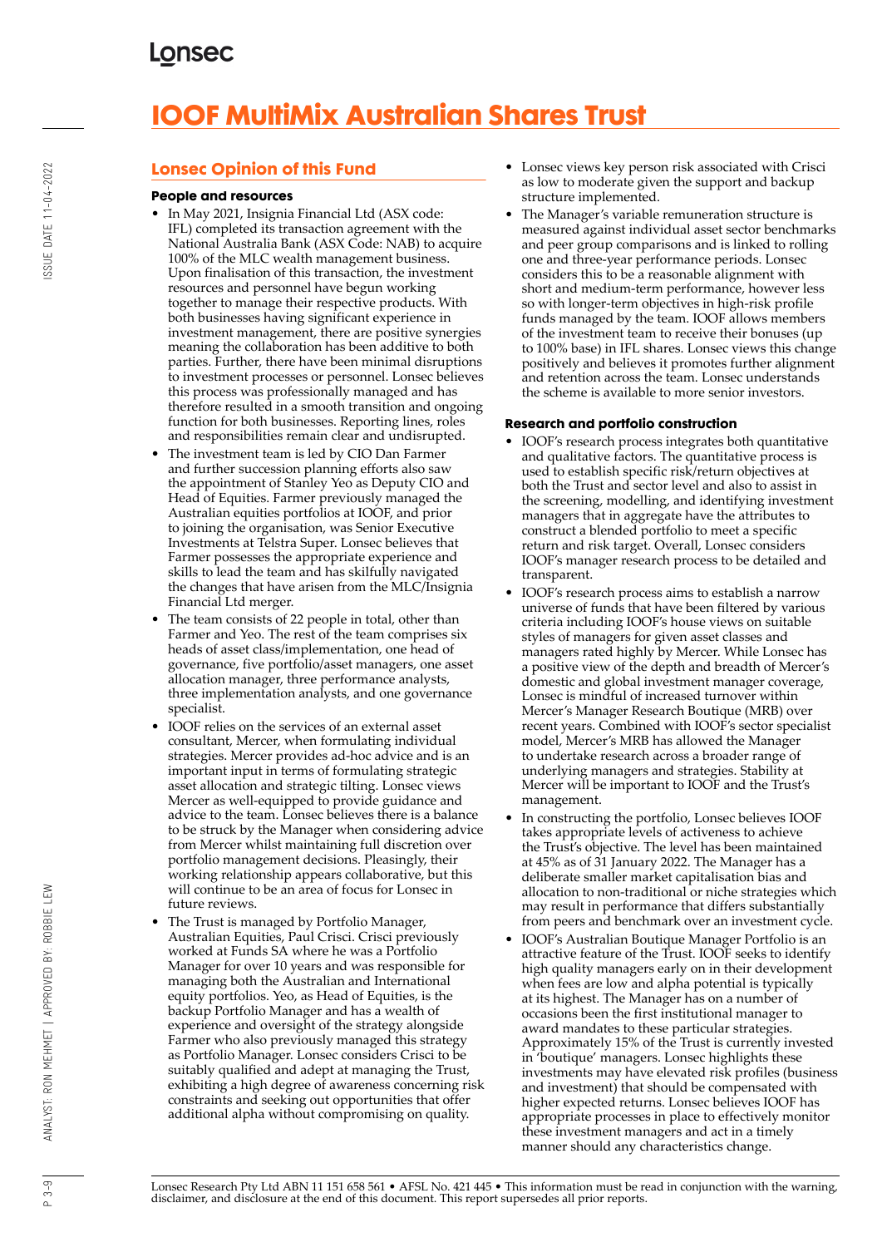# **IOOF MultiMix Australian Shares Trust**

## **Lonsec Opinion of this Fund**

#### **People and resources**

- In May 2021, Insignia Financial Ltd (ASX code: IFL) completed its transaction agreement with the National Australia Bank (ASX Code: NAB) to acquire 100% of the MLC wealth management business. Upon finalisation of this transaction, the investment resources and personnel have begun working together to manage their respective products. With both businesses having significant experience in investment management, there are positive synergies meaning the collaboration has been additive to both parties. Further, there have been minimal disruptions to investment processes or personnel. Lonsec believes this process was professionally managed and has therefore resulted in a smooth transition and ongoing function for both businesses. Reporting lines, roles and responsibilities remain clear and undisrupted.
- The investment team is led by CIO Dan Farmer and further succession planning efforts also saw the appointment of Stanley Yeo as Deputy CIO and Head of Equities. Farmer previously managed the Australian equities portfolios at IOOF, and prior to joining the organisation, was Senior Executive Investments at Telstra Super. Lonsec believes that Farmer possesses the appropriate experience and skills to lead the team and has skilfully navigated the changes that have arisen from the MLC/Insignia Financial Ltd merger.
- The team consists of 22 people in total, other than Farmer and Yeo. The rest of the team comprises six heads of asset class/implementation, one head of governance, five portfolio/asset managers, one asset allocation manager, three performance analysts, three implementation analysts, and one governance specialist.
- IOOF relies on the services of an external asset consultant, Mercer, when formulating individual strategies. Mercer provides ad-hoc advice and is an important input in terms of formulating strategic asset allocation and strategic tilting. Lonsec views Mercer as well-equipped to provide guidance and advice to the team. Lonsec believes there is a balance to be struck by the Manager when considering advice from Mercer whilst maintaining full discretion over portfolio management decisions. Pleasingly, their working relationship appears collaborative, but this will continue to be an area of focus for Lonsec in future reviews.
- The Trust is managed by Portfolio Manager, Australian Equities, Paul Crisci. Crisci previously worked at Funds SA where he was a Portfolio Manager for over 10 years and was responsible for managing both the Australian and International equity portfolios. Yeo, as Head of Equities, is the backup Portfolio Manager and has a wealth of experience and oversight of the strategy alongside Farmer who also previously managed this strategy as Portfolio Manager. Lonsec considers Crisci to be suitably qualified and adept at managing the Trust, exhibiting a high degree of awareness concerning risk constraints and seeking out opportunities that offer additional alpha without compromising on quality.
- Lonsec views key person risk associated with Crisci as low to moderate given the support and backup structure implemented.
- The Manager's variable remuneration structure is measured against individual asset sector benchmarks and peer group comparisons and is linked to rolling one and three-year performance periods. Lonsec considers this to be a reasonable alignment with short and medium-term performance, however less so with longer-term objectives in high-risk profile funds managed by the team. IOOF allows members of the investment team to receive their bonuses (up to 100% base) in IFL shares. Lonsec views this change positively and believes it promotes further alignment and retention across the team. Lonsec understands the scheme is available to more senior investors.

#### **Research and portfolio construction**

- IOOF's research process integrates both quantitative and qualitative factors. The quantitative process is used to establish specific risk/return objectives at both the Trust and sector level and also to assist in the screening, modelling, and identifying investment managers that in aggregate have the attributes to construct a blended portfolio to meet a specific return and risk target. Overall, Lonsec considers IOOF's manager research process to be detailed and transparent.
- IOOF's research process aims to establish a narrow universe of funds that have been filtered by various criteria including IOOF's house views on suitable styles of managers for given asset classes and managers rated highly by Mercer. While Lonsec has a positive view of the depth and breadth of Mercer's domestic and global investment manager coverage, Lonsec is mindful of increased turnover within Mercer's Manager Research Boutique (MRB) over recent years. Combined with IOOF's sector specialist model, Mercer's MRB has allowed the Manager to undertake research across a broader range of underlying managers and strategies. Stability at Mercer will be important to IOOF and the Trust's management.
- In constructing the portfolio, Lonsec believes IOOF takes appropriate levels of activeness to achieve the Trust's objective. The level has been maintained at 45% as of 31 January 2022. The Manager has a deliberate smaller market capitalisation bias and allocation to non-traditional or niche strategies which may result in performance that differs substantially from peers and benchmark over an investment cycle.
- IOOF's Australian Boutique Manager Portfolio is an attractive feature of the Trust. IOOF seeks to identify high quality managers early on in their development when fees are low and alpha potential is typically at its highest. The Manager has on a number of occasions been the first institutional manager to award mandates to these particular strategies. Approximately 15% of the Trust is currently invested in 'boutique' managers. Lonsec highlights these investments may have elevated risk profiles (business and investment) that should be compensated with higher expected returns. Lonsec believes IOOF has appropriate processes in place to effectively monitor these investment managers and act in a timely manner should any characteristics change.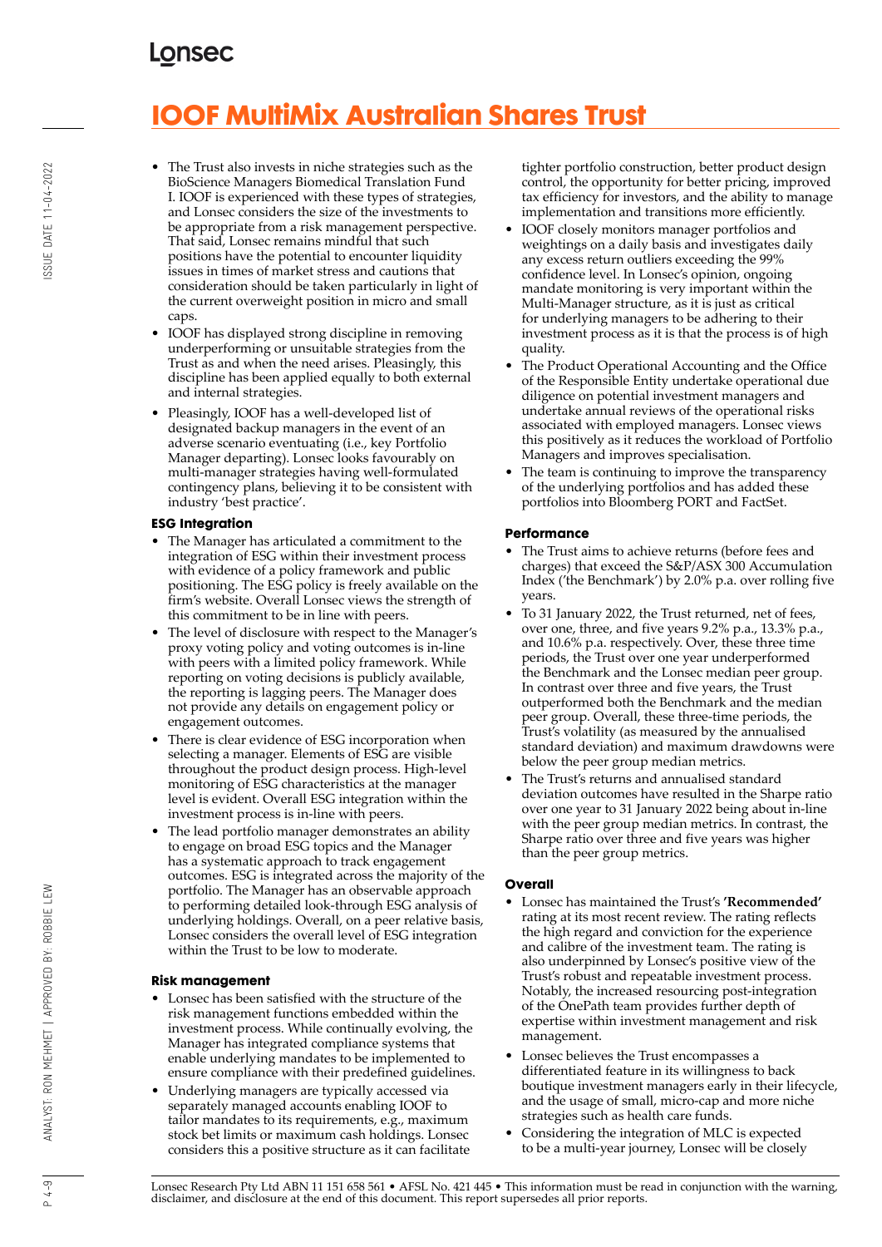# **IOOF MultiMix Australian Shares Trust**

- The Trust also invests in niche strategies such as the BioScience Managers Biomedical Translation Fund I. IOOF is experienced with these types of strategies, and Lonsec considers the size of the investments to be appropriate from a risk management perspective. That said, Lonsec remains mindful that such positions have the potential to encounter liquidity issues in times of market stress and cautions that consideration should be taken particularly in light of the current overweight position in micro and small caps.
- IOOF has displayed strong discipline in removing underperforming or unsuitable strategies from the Trust as and when the need arises. Pleasingly, this discipline has been applied equally to both external and internal strategies.
- Pleasingly, IOOF has a well-developed list of designated backup managers in the event of an adverse scenario eventuating (i.e., key Portfolio Manager departing). Lonsec looks favourably on multi-manager strategies having well-formulated contingency plans, believing it to be consistent with industry 'best practice'.

#### **ESG Integration**

- The Manager has articulated a commitment to the integration of ESG within their investment process with evidence of a policy framework and public positioning. The ESG policy is freely available on the firm's website. Overall Lonsec views the strength of this commitment to be in line with peers.
- The level of disclosure with respect to the Manager's proxy voting policy and voting outcomes is in-line with peers with a limited policy framework. While reporting on voting decisions is publicly available, the reporting is lagging peers. The Manager does not provide any details on engagement policy or engagement outcomes.
- There is clear evidence of ESG incorporation when selecting a manager. Elements of ESG are visible throughout the product design process. High-level monitoring of ESG characteristics at the manager level is evident. Overall ESG integration within the investment process is in-line with peers.
- The lead portfolio manager demonstrates an ability to engage on broad ESG topics and the Manager has a systematic approach to track engagement outcomes. ESG is integrated across the majority of the portfolio. The Manager has an observable approach to performing detailed look-through ESG analysis of underlying holdings. Overall, on a peer relative basis, Lonsec considers the overall level of ESG integration within the Trust to be low to moderate.

#### **Risk management**

- Lonsec has been satisfied with the structure of the risk management functions embedded within the investment process. While continually evolving, the Manager has integrated compliance systems that enable underlying mandates to be implemented to ensure compliance with their predefined guidelines.
- Underlying managers are typically accessed via separately managed accounts enabling IOOF to tailor mandates to its requirements, e.g., maximum stock bet limits or maximum cash holdings. Lonsec considers this a positive structure as it can facilitate

tighter portfolio construction, better product design control, the opportunity for better pricing, improved tax efficiency for investors, and the ability to manage implementation and transitions more efficiently.

- IOOF closely monitors manager portfolios and weightings on a daily basis and investigates daily any excess return outliers exceeding the 99% confidence level. In Lonsec's opinion, ongoing mandate monitoring is very important within the Multi-Manager structure, as it is just as critical for underlying managers to be adhering to their investment process as it is that the process is of high quality.
- The Product Operational Accounting and the Office of the Responsible Entity undertake operational due diligence on potential investment managers and undertake annual reviews of the operational risks associated with employed managers. Lonsec views this positively as it reduces the workload of Portfolio Managers and improves specialisation.
- The team is continuing to improve the transparency of the underlying portfolios and has added these portfolios into Bloomberg PORT and FactSet.

#### **Performance**

- The Trust aims to achieve returns (before fees and charges) that exceed the S&P/ASX 300 Accumulation Index ('the Benchmark') by 2.0% p.a. over rolling five years.
- To 31 January 2022, the Trust returned, net of fees, over one, three, and five years 9.2% p.a., 13.3% p.a., and 10.6% p.a. respectively. Over, these three time periods, the Trust over one year underperformed the Benchmark and the Lonsec median peer group. In contrast over three and five years, the Trust outperformed both the Benchmark and the median peer group. Overall, these three-time periods, the Trust's volatility (as measured by the annualised standard deviation) and maximum drawdowns were below the peer group median metrics.
- The Trust's returns and annualised standard deviation outcomes have resulted in the Sharpe ratio over one year to 31 January 2022 being about in-line with the peer group median metrics. In contrast, the Sharpe ratio over three and five years was higher than the peer group metrics.

#### **Overall**

- Lonsec has maintained the Trust's **'Recommended'** rating at its most recent review. The rating reflects the high regard and conviction for the experience and calibre of the investment team. The rating is also underpinned by Lonsec's positive view of the Trust's robust and repeatable investment process. Notably, the increased resourcing post-integration of the OnePath team provides further depth of expertise within investment management and risk management.
- Lonsec believes the Trust encompasses a differentiated feature in its willingness to back boutique investment managers early in their lifecycle, and the usage of small, micro-cap and more niche strategies such as health care funds.
- Considering the integration of MLC is expected to be a multi-year journey, Lonsec will be closely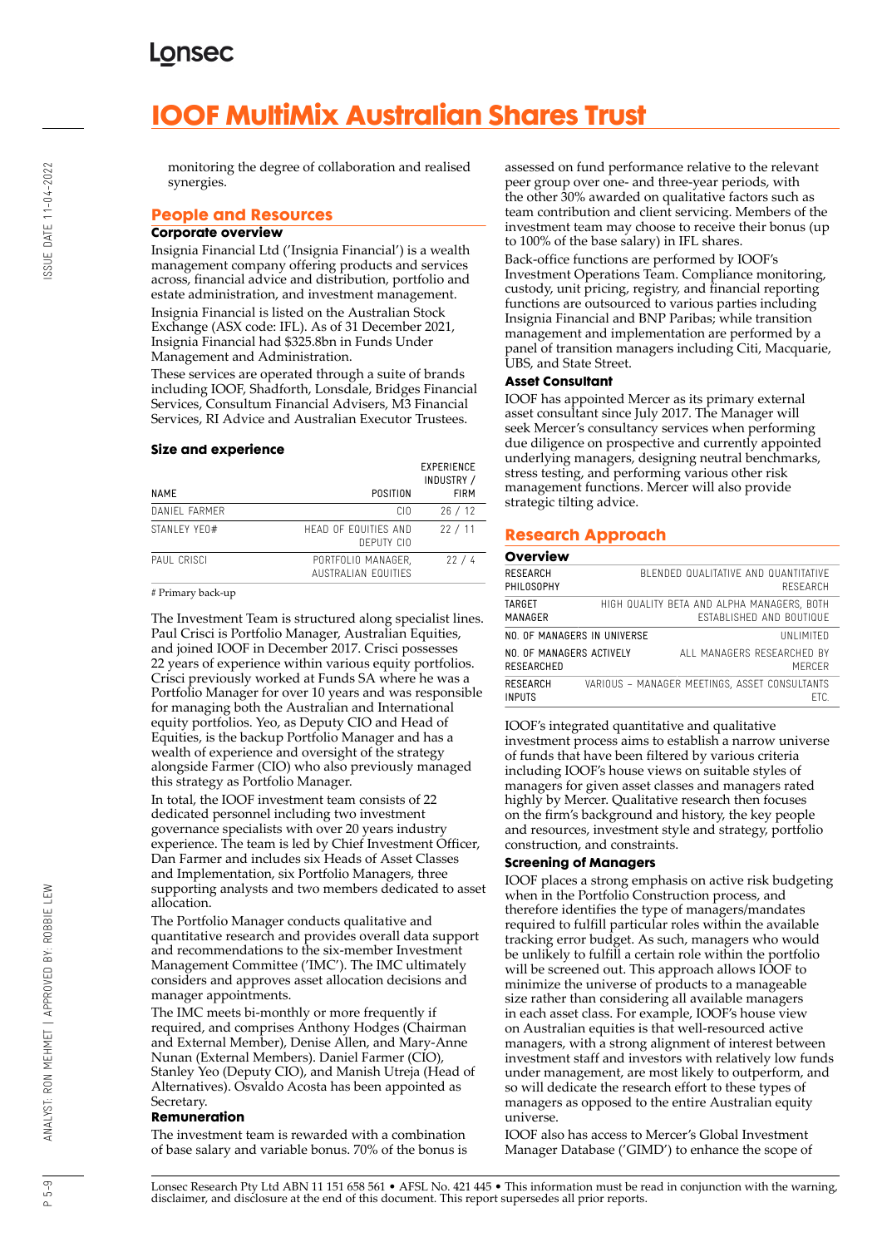# **IOOF MultiMix Australian Shares Trust**

monitoring the degree of collaboration and realised synergies.

#### **People and Resources**

#### **Corporate overview**

Insignia Financial Ltd ('Insignia Financial') is a wealth management company offering products and services across, financial advice and distribution, portfolio and estate administration, and investment management. Insignia Financial is listed on the Australian Stock Exchange (ASX code: IFL). As of 31 December 2021, Insignia Financial had \$325.8bn in Funds Under Management and Administration.

These services are operated through a suite of brands including IOOF, Shadforth, Lonsdale, Bridges Financial Services, Consultum Financial Advisers, M3 Financial Services, RI Advice and Australian Executor Trustees.

#### **Size and experience**

| NAME          | POSITION                                  | <b>EXPERIENCE</b><br>INDUSTRY /<br><b>FIRM</b> |
|---------------|-------------------------------------------|------------------------------------------------|
| DANIEL FARMER | CIO.                                      | 26/12                                          |
| STANI FY YFO# | HEAD OF EQUITIES AND<br>DEPUTY CIO        | 22/11                                          |
| PAUL CRISCI   | PORTFOLIO MANAGER,<br>AUSTRALIAN FOUITIFS | 22/4                                           |

# Primary back-up

The Investment Team is structured along specialist lines. Paul Crisci is Portfolio Manager, Australian Equities, and joined IOOF in December 2017. Crisci possesses 22 years of experience within various equity portfolios. Crisci previously worked at Funds SA where he was a Portfolio Manager for over 10 years and was responsible for managing both the Australian and International equity portfolios. Yeo, as Deputy CIO and Head of Equities, is the backup Portfolio Manager and has a wealth of experience and oversight of the strategy alongside Farmer (CIO) who also previously managed this strategy as Portfolio Manager.

In total, the IOOF investment team consists of 22 dedicated personnel including two investment governance specialists with over 20 years industry experience. The team is led by Chief Investment Officer, Dan Farmer and includes six Heads of Asset Classes and Implementation, six Portfolio Managers, three supporting analysts and two members dedicated to asset allocation.

The Portfolio Manager conducts qualitative and quantitative research and provides overall data support and recommendations to the six-member Investment Management Committee ('IMC'). The IMC ultimately considers and approves asset allocation decisions and manager appointments.

The IMC meets bi-monthly or more frequently if required, and comprises Anthony Hodges (Chairman and External Member), Denise Allen, and Mary-Anne Nunan (External Members). Daniel Farmer (CIO), Stanley Yeo (Deputy CIO), and Manish Utreja (Head of Alternatives). Osvaldo Acosta has been appointed as Secretary.

#### **Remuneration**

The investment team is rewarded with a combination of base salary and variable bonus. 70% of the bonus is assessed on fund performance relative to the relevant peer group over one- and three-year periods, with the other 30% awarded on qualitative factors such as team contribution and client servicing. Members of the investment team may choose to receive their bonus (up to 100% of the base salary) in IFL shares.

Back-office functions are performed by IOOF's Investment Operations Team. Compliance monitoring, custody, unit pricing, registry, and financial reporting functions are outsourced to various parties including Insignia Financial and BNP Paribas; while transition management and implementation are performed by a panel of transition managers including Citi, Macquarie, UBS, and State Street.

#### **Asset Consultant**

IOOF has appointed Mercer as its primary external asset consultant since July 2017. The Manager will seek Mercer's consultancy services when performing due diligence on prospective and currently appointed underlying managers, designing neutral benchmarks, stress testing, and performing various other risk management functions. Mercer will also provide strategic tilting advice.

### **Research Approach**

#### **Overview** RESEARCH PHILOSOPHY BLENDED QUALITATIVE AND QUANTITATIVE **RESEARCH** TARGET MANAGER HIGH QUALITY BETA AND ALPHA MANAGERS, BOTH ESTABLISHED AND BOUTIQUE NO. OF MANAGERS IN UNIVERSE UNLIMITED NO. OF MANAGERS ACTIVELY RESEARCHED ALL MANAGERS RESEARCHED BY MERCER RESEARCH INPUTS VARIOUS – MANAGER MEETINGS, ASSET CONSULTANTS ETC.

IOOF's integrated quantitative and qualitative investment process aims to establish a narrow universe of funds that have been filtered by various criteria including IOOF's house views on suitable styles of managers for given asset classes and managers rated highly by Mercer. Qualitative research then focuses on the firm's background and history, the key people and resources, investment style and strategy, portfolio construction, and constraints.

#### **Screening of Managers**

IOOF places a strong emphasis on active risk budgeting when in the Portfolio Construction process, and therefore identifies the type of managers/mandates required to fulfill particular roles within the available tracking error budget. As such, managers who would be unlikely to fulfill a certain role within the portfolio will be screened out. This approach allows IOOF to minimize the universe of products to a manageable size rather than considering all available managers in each asset class. For example, IOOF's house view on Australian equities is that well-resourced active managers, with a strong alignment of interest between investment staff and investors with relatively low funds under management, are most likely to outperform, and so will dedicate the research effort to these types of managers as opposed to the entire Australian equity universe.

IOOF also has access to Mercer's Global Investment Manager Database ('GIMD') to enhance the scope of

ANALYST: RON MEHMET | APPROVED BY: ROBBIE LEW

 $-5 - 9$  $\alpha$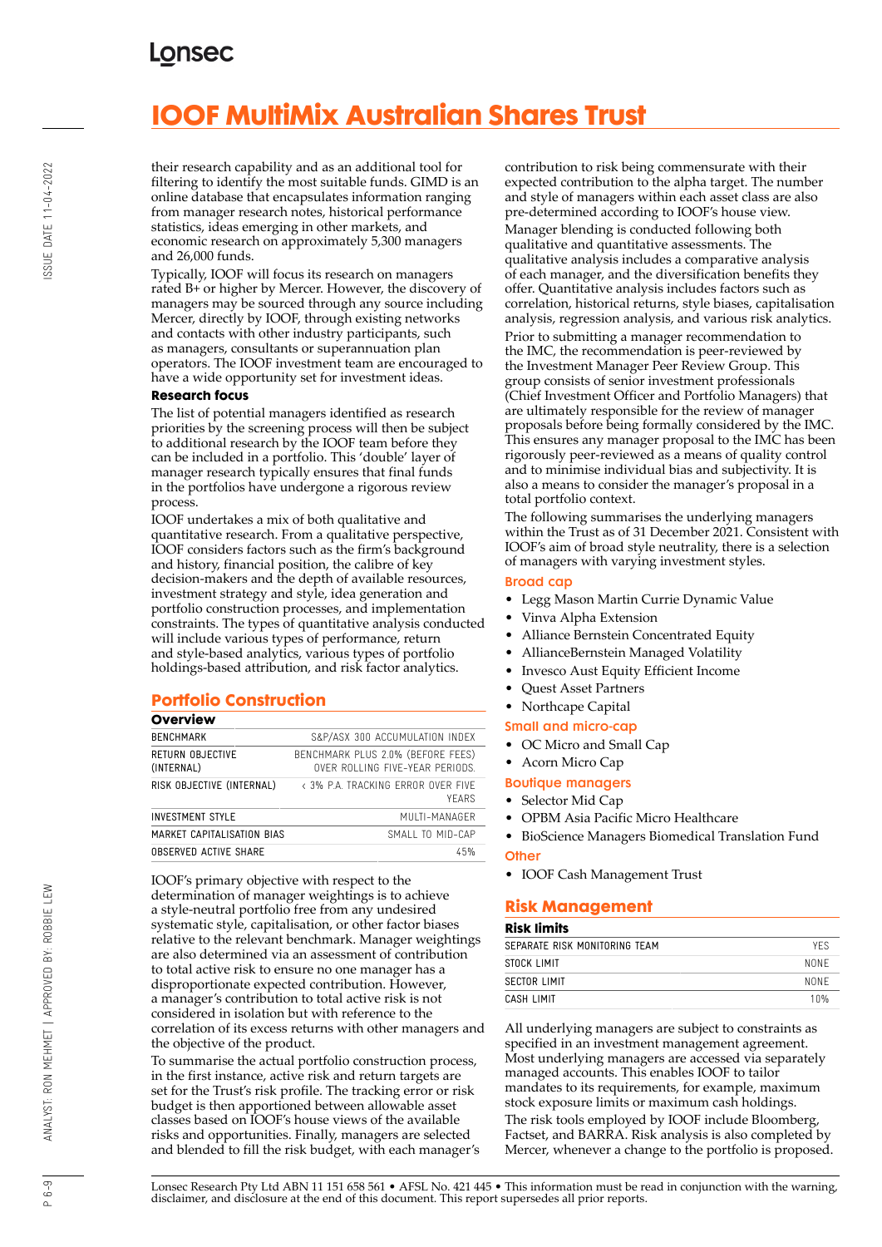# **IOOF MultiMix Australian Shares Trust**

their research capability and as an additional tool for filtering to identify the most suitable funds. GIMD is an online database that encapsulates information ranging from manager research notes, historical performance statistics, ideas emerging in other markets, and economic research on approximately 5,300 managers and 26,000 funds.

Typically, IOOF will focus its research on managers rated B+ or higher by Mercer. However, the discovery of managers may be sourced through any source including Mercer, directly by IOOF, through existing networks and contacts with other industry participants, such as managers, consultants or superannuation plan operators. The IOOF investment team are encouraged to have a wide opportunity set for investment ideas.

#### **Research focus**

The list of potential managers identified as research priorities by the screening process will then be subject to additional research by the IOOF team before they can be included in a portfolio. This 'double' layer of manager research typically ensures that final funds in the portfolios have undergone a rigorous review process.

IOOF undertakes a mix of both qualitative and quantitative research. From a qualitative perspective, IOOF considers factors such as the firm's background and history, financial position, the calibre of key decision-makers and the depth of available resources, investment strategy and style, idea generation and portfolio construction processes, and implementation constraints. The types of quantitative analysis conducted will include various types of performance, return and style-based analytics, various types of portfolio holdings-based attribution, and risk factor analytics.

## **Portfolio Construction**

#### **Overview**

| <b>UVEIVIEW</b>                |                                                                      |
|--------------------------------|----------------------------------------------------------------------|
| <b>BENCHMARK</b>               | S&P/ASX 300 ACCUMULATION INDEX                                       |
| RETURN OBJECTIVE<br>(INTERNAL) | BENCHMARK PLUS 2.0% (BEFORE FEES)<br>OVER ROLLING FIVE-YEAR PERIODS. |
| RISK OBJECTIVE (INTERNAL)      | < 3% P.A. TRACKING FRROR OVER FIVE<br>YFARS                          |
| <b>INVESTMENT STYLE</b>        | MUITI-MANAGER                                                        |
| MARKET CAPITALISATION BIAS     | SMALL TO MID-CAP                                                     |
| OBSERVED ACTIVE SHARE          | 45%                                                                  |

IOOF's primary objective with respect to the determination of manager weightings is to achieve a style-neutral portfolio free from any undesired systematic style, capitalisation, or other factor biases relative to the relevant benchmark. Manager weightings are also determined via an assessment of contribution to total active risk to ensure no one manager has a disproportionate expected contribution. However, a manager's contribution to total active risk is not considered in isolation but with reference to the correlation of its excess returns with other managers and the objective of the product.

To summarise the actual portfolio construction process, in the first instance, active risk and return targets are set for the Trust's risk profile. The tracking error or risk budget is then apportioned between allowable asset classes based on IOOF's house views of the available risks and opportunities. Finally, managers are selected and blended to fill the risk budget, with each manager's contribution to risk being commensurate with their expected contribution to the alpha target. The number and style of managers within each asset class are also pre-determined according to IOOF's house view. Manager blending is conducted following both qualitative and quantitative assessments. The qualitative analysis includes a comparative analysis of each manager, and the diversification benefits they offer. Quantitative analysis includes factors such as correlation, historical returns, style biases, capitalisation analysis, regression analysis, and various risk analytics. Prior to submitting a manager recommendation to the IMC, the recommendation is peer-reviewed by the Investment Manager Peer Review Group. This group consists of senior investment professionals (Chief Investment Officer and Portfolio Managers) that are ultimately responsible for the review of manager proposals before being formally considered by the IMC. This ensures any manager proposal to the IMC has been rigorously peer-reviewed as a means of quality control and to minimise individual bias and subjectivity. It is also a means to consider the manager's proposal in a total portfolio context.

The following summarises the underlying managers within the Trust as of 31 December 2021. Consistent with IOOF's aim of broad style neutrality, there is a selection of managers with varying investment styles.

#### Broad cap

- Legg Mason Martin Currie Dynamic Value
- Vinva Alpha Extension
- Alliance Bernstein Concentrated Equity
- AllianceBernstein Managed Volatility
- Invesco Aust Equity Efficient Income
- Quest Asset Partners
- Northcape Capital

#### Small and micro-cap

- OC Micro and Small Cap
- Acorn Micro Cap

#### Boutique managers

- Selector Mid Cap
- OPBM Asia Pacific Micro Healthcare
- BioScience Managers Biomedical Translation Fund

#### **Other**

• IOOF Cash Management Trust

#### **Risk Management**

#### **Risk limits**

| SEPARATE RISK MONITORING TEAM | <b>YFS</b> |
|-------------------------------|------------|
| STOCK LIMIT                   | NONF       |
| <b>SECTOR LIMIT</b>           | NONF       |
| CASH LIMIT                    | 10%        |
|                               |            |

All underlying managers are subject to constraints as specified in an investment management agreement. Most underlying managers are accessed via separately managed accounts. This enables IOOF to tailor mandates to its requirements, for example, maximum stock exposure limits or maximum cash holdings. The risk tools employed by IOOF include Bloomberg, Factset, and BARRA. Risk analysis is also completed by Mercer, whenever a change to the portfolio is proposed.

Lonsec Research Pty Ltd ABN 11 151 658 561 • AFSL No. 421 445 • This information must be read in conjunction with the warning, disclaimer, and disclosure at the end of this document. This report supersedes all prior reports.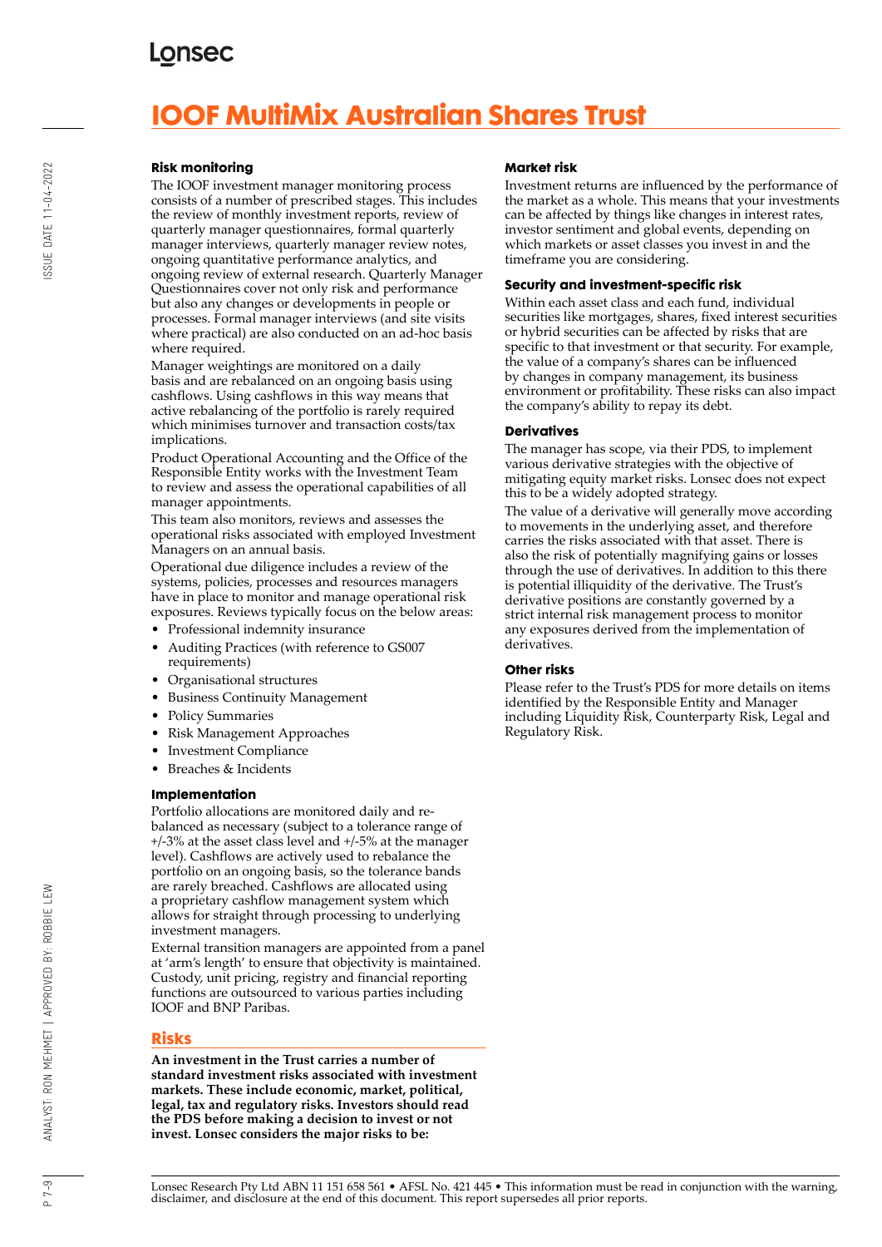# **IOOF MultiMix Australian Shares Trust**

#### **Risk monitoring**

The IOOF investment manager monitoring process consists of a number of prescribed stages. This includes the review of monthly investment reports, review of quarterly manager questionnaires, formal quarterly manager interviews, quarterly manager review notes, ongoing quantitative performance analytics, and ongoing review of external research. Quarterly Manager Questionnaires cover not only risk and performance but also any changes or developments in people or processes. Formal manager interviews (and site visits where practical) are also conducted on an ad-hoc basis where required.

Manager weightings are monitored on a daily basis and are rebalanced on an ongoing basis using cashflows. Using cashflows in this way means that active rebalancing of the portfolio is rarely required which minimises turnover and transaction costs/tax implications.

Product Operational Accounting and the Office of the Responsible Entity works with the Investment Team to review and assess the operational capabilities of all manager appointments.

This team also monitors, reviews and assesses the operational risks associated with employed Investment Managers on an annual basis.

Operational due diligence includes a review of the systems, policies, processes and resources managers have in place to monitor and manage operational risk exposures. Reviews typically focus on the below areas:

- Professional indemnity insurance
- Auditing Practices (with reference to GS007 requirements)
- Organisational structures
- Business Continuity Management
- Policy Summaries
- Risk Management Approaches
- Investment Compliance
- Breaches & Incidents

#### **Implementation**

Portfolio allocations are monitored daily and rebalanced as necessary (subject to a tolerance range of +/-3% at the asset class level and +/-5% at the manager level). Cashflows are actively used to rebalance the portfolio on an ongoing basis, so the tolerance bands are rarely breached. Cashflows are allocated using a proprietary cashflow management system which allows for straight through processing to underlying investment managers.

External transition managers are appointed from a panel at 'arm's length' to ensure that objectivity is maintained. Custody, unit pricing, registry and financial reporting functions are outsourced to various parties including IOOF and BNP Paribas.

#### **Risks**

**An investment in the Trust carries a number of standard investment risks associated with investment markets. These include economic, market, political, legal, tax and regulatory risks. Investors should read the PDS before making a decision to invest or not invest. Lonsec considers the major risks to be:**

#### **Market risk**

Investment returns are influenced by the performance of the market as a whole. This means that your investments can be affected by things like changes in interest rates, investor sentiment and global events, depending on which markets or asset classes you invest in and the timeframe you are considering.

#### **Security and investment-specific risk**

Within each asset class and each fund, individual securities like mortgages, shares, fixed interest securities or hybrid securities can be affected by risks that are specific to that investment or that security. For example, the value of a company's shares can be influenced by changes in company management, its business environment or profitability. These risks can also impact the company's ability to repay its debt.

#### **Derivatives**

The manager has scope, via their PDS, to implement various derivative strategies with the objective of mitigating equity market risks. Lonsec does not expect this to be a widely adopted strategy.

The value of a derivative will generally move according to movements in the underlying asset, and therefore carries the risks associated with that asset. There is also the risk of potentially magnifying gains or losses through the use of derivatives. In addition to this there is potential illiquidity of the derivative. The Trust's derivative positions are constantly governed by a strict internal risk management process to monitor any exposures derived from the implementation of derivatives.

#### **Other risks**

Please refer to the Trust's PDS for more details on items identified by the Responsible Entity and Manager including Liquidity Risk, Counterparty Risk, Legal and Regulatory Risk.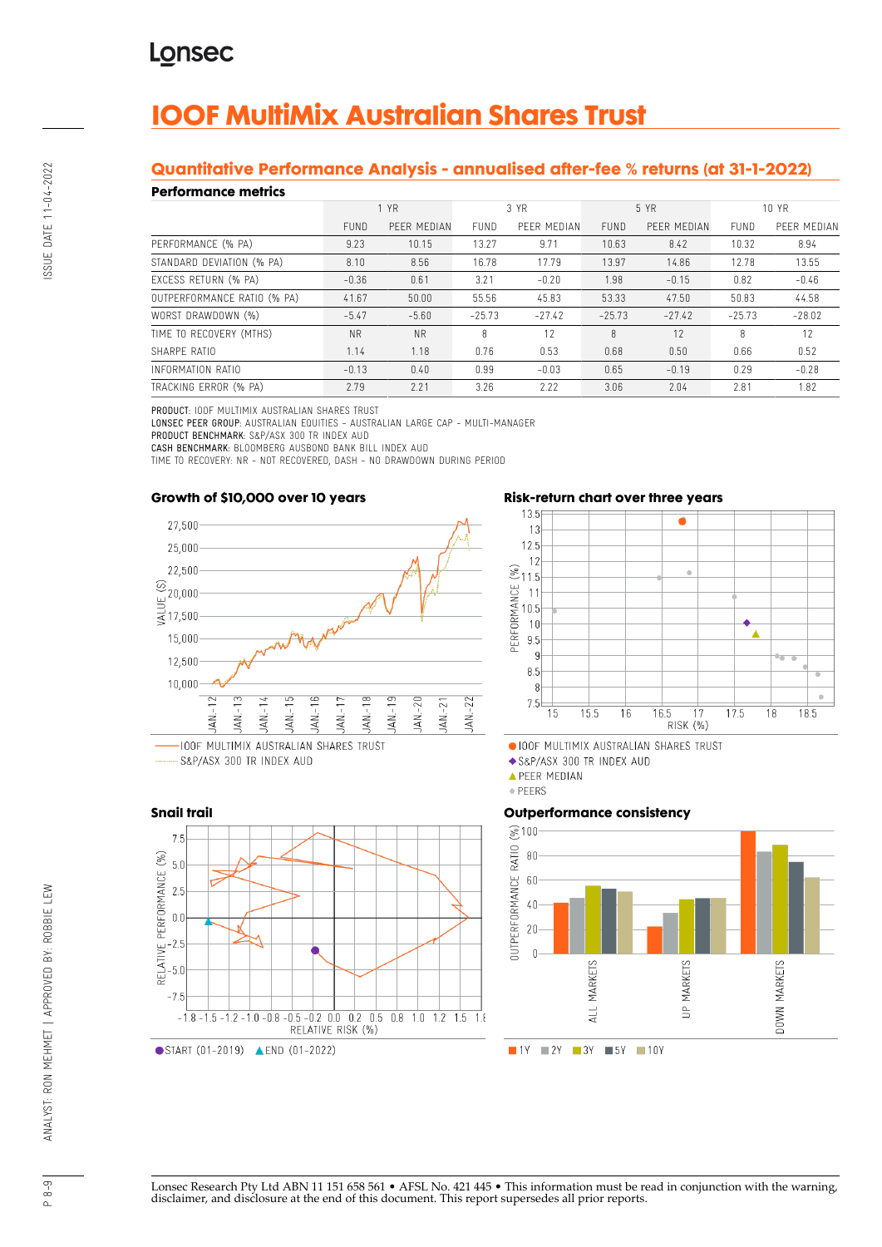# **IOOF MultiMix Australian Shares Trust**

## **Quantitative Performance Analysis - annualised after-fee % returns (at 31-1-2022)**

#### **Performance metrics**

| геноннансе піспісэ          |             |             |             |             |             |             |             |             |  |  |
|-----------------------------|-------------|-------------|-------------|-------------|-------------|-------------|-------------|-------------|--|--|
|                             | 1 YR        |             | 3 YR        |             | 5 YR        |             | 10 YR       |             |  |  |
|                             | <b>FUND</b> | PEER MEDIAN | <b>FUND</b> | PEER MEDIAN | <b>FUND</b> | PEER MEDIAN | <b>FUND</b> | PEER MEDIAN |  |  |
| PERFORMANCE (% PA)          | 9.23        | 10.15       | 13.27       | 9.71        | 10.63       | 8.42        | 10.32       | 8.94        |  |  |
| STANDARD DEVIATION (% PA)   | 8.10        | 8.56        | 16.78       | 17.79       | 13.97       | 14.86       | 12.78       | 13.55       |  |  |
| EXCESS RETURN (% PA)        | $-0.36$     | 0.61        | 3.21        | $-0.20$     | 1.98        | $-0.15$     | 0.82        | $-0.46$     |  |  |
| OUTPERFORMANCE RATIO (% PA) | 41.67       | 50.00       | 55.56       | 45.83       | 53.33       | 47.50       | 50.83       | 44.58       |  |  |
| WORST DRAWDOWN (%)          | $-5.47$     | $-5.60$     | $-25.73$    | $-27.42$    | $-25.73$    | $-27.42$    | $-25.73$    | $-28.02$    |  |  |
| TIME TO RECOVERY (MTHS)     | <b>NR</b>   | <b>NR</b>   | 8           | 12          | 8           | 12          | 8           | 12          |  |  |
| SHARPF RATIO                | 1.14        | 1.18        | 0.76        | 0.53        | 0.68        | 0.50        | 0.66        | 0.52        |  |  |
| INFORMATION RATIO           | $-0.13$     | 0.40        | 0.99        | $-0.03$     | 0.65        | $-0.19$     | 0.29        | $-0.28$     |  |  |
| TRACKING ERROR (% PA)       | 2.79        | 2.21        | 3.26        | 2.22        | 3.06        | 2.04        | 2.81        | 1.82        |  |  |

PRODUCT: IOOF MULTIMIX AUSTRALIAN SHARES TRUST

LONSEC PEER GROUP: AUSTRALIAN EQUITIES - AUSTRALIAN LARGE CAP - MULTI-MANAGER PRODUCT BENCHMARK: S&P/ASX 300 TR INDEX AUD

CASH BENCHMARK: BLOOMBERG AUSBOND BANK BILL INDEX AUD

TIME TO RECOVERY: NR - NOT RECOVERED, DASH - NO DRAWDOWN DURING PERIOD

#### **Growth of \$10,000 over 10 years**



S&P/ASX 300 TR INDEX AUD



#### **Risk-return chart over three years**



· IOOF MULTIMIX AUSTRALIAN SHARES TRUST

S&P/ASX 300 TR INDEX AUD

**APEER MEDIAN** 

· PEERS

#### **Outperformance consistency**



Lonsec Research Pty Ltd ABN 11 151 658 561 • AFSL No. 421 445 • This information must be read in conjunction with the warning, disclaimer, and disclosure at the end of this document. This report supersedes all prior reports.